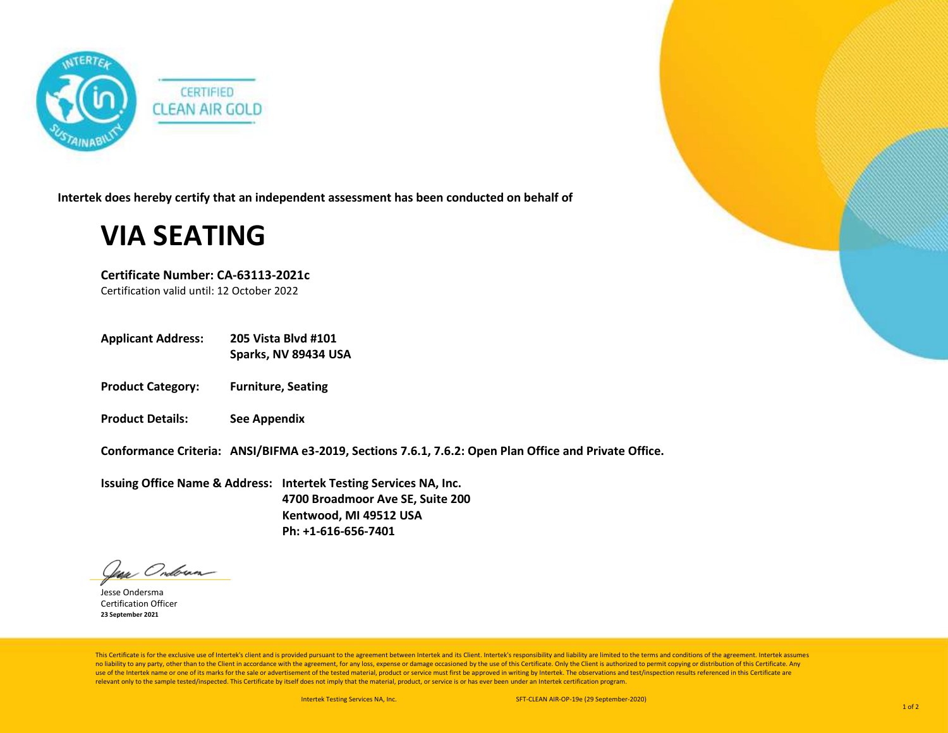

**Intertek does hereby certify that an independent assessment has been conducted on behalf of**

## **VIA SEATING**

**Certificate Number: CA-63113-2021c**

Certification valid until: 12 October 2022

**Applicant Address: 205 Vista Blvd #101**

**Sparks, NV 89434 USA**

- **Product Category: Furniture, Seating**
- **Product Details: See Appendix**

**Conformance Criteria: ANSI/BIFMA e3-2019, Sections 7.6.1, 7.6.2: Open Plan Office and Private Office.**

**Issuing Office Name & Address: Intertek Testing Services NA, Inc. 4700 Broadmoor Ave SE, Suite 200 Kentwood, MI 49512 USA Ph: +1-616-656-7401**

Jean Onderna

Jesse Ondersma Certification Officer **23 September 2021**

This Certificate is for the exclusive use of Intertek's client and is provided pursuant to the agreement between Intertek and its Client. Intertek's responsibility and liability are limited to the terms and conditions of t no liability to any party, other than to the Client in accordance with the agreement, for any loss, expense or damage occasioned by the use of this Certificate. Only the Client is authorized to permit copying or distributi use of the Intertek name or one of its marks for the sale or advertisement of the tested material, product or service must first be approved in writing by Intertek. The observations and test/inspection results referenced i relevant only to the sample tested/inspected. This Certificate by itself does not imply that the material, product, or service is or has ever been under an Intertek certification program.